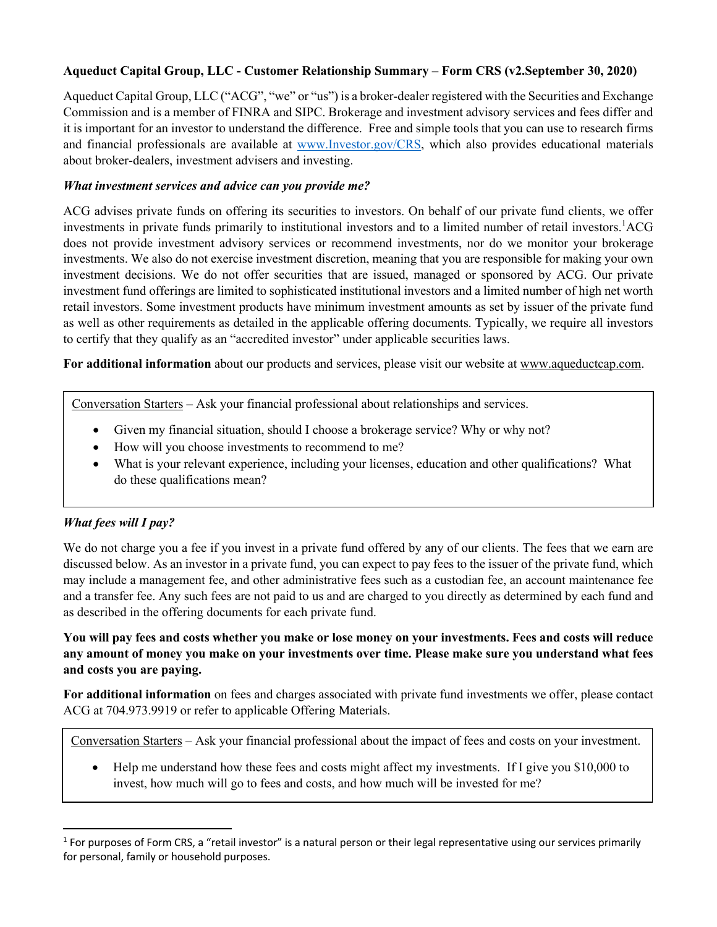## **Aqueduct Capital Group, LLC - Customer Relationship Summary – Form CRS (v2.September 30, 2020)**

Aqueduct Capital Group, LLC ("ACG", "we" or "us") is a broker-dealer registered with the Securities and Exchange Commission and is a member of FINRA and SIPC. Brokerage and investment advisory services and fees differ and it is important for an investor to understand the difference. Free and simple tools that you can use to research firms and financial professionals are available at www.Investor.gov/CRS, which also provides educational materials about broker-dealers, investment advisers and investing.

#### *What investment services and advice can you provide me?*

ACG advises private funds on offering its securities to investors. On behalf of our private fund clients, we offer investments in private funds primarily to institutional investors and to a limited number of retail investors.<sup>1</sup>ACG does not provide investment advisory services or recommend investments, nor do we monitor your brokerage investments. We also do not exercise investment discretion, meaning that you are responsible for making your own investment decisions. We do not offer securities that are issued, managed or sponsored by ACG. Our private investment fund offerings are limited to sophisticated institutional investors and a limited number of high net worth retail investors. Some investment products have minimum investment amounts as set by issuer of the private fund as well as other requirements as detailed in the applicable offering documents. Typically, we require all investors to certify that they qualify as an "accredited investor" under applicable securities laws.

**For additional information** about our products and services, please visit our website at www.aqueductcap.com.

Conversation Starters – Ask your financial professional about relationships and services.

- Given my financial situation, should I choose a brokerage service? Why or why not?
- How will you choose investments to recommend to me?
- What is your relevant experience, including your licenses, education and other qualifications? What do these qualifications mean?

### *What fees will I pay?*

We do not charge you a fee if you invest in a private fund offered by any of our clients. The fees that we earn are discussed below. As an investor in a private fund, you can expect to pay fees to the issuer of the private fund, which may include a management fee, and other administrative fees such as a custodian fee, an account maintenance fee and a transfer fee. Any such fees are not paid to us and are charged to you directly as determined by each fund and as described in the offering documents for each private fund.

**You will pay fees and costs whether you make or lose money on your investments. Fees and costs will reduce any amount of money you make on your investments over time. Please make sure you understand what fees and costs you are paying.** 

**For additional information** on fees and charges associated with private fund investments we offer, please contact ACG at 704.973.9919 or refer to applicable Offering Materials.

Conversation Starters – Ask your financial professional about the impact of fees and costs on your investment.

• Help me understand how these fees and costs might affect my investments. If I give you \$10,000 to invest, how much will go to fees and costs, and how much will be invested for me?

 $1$  For purposes of Form CRS, a "retail investor" is a natural person or their legal representative using our services primarily for personal, family or household purposes.